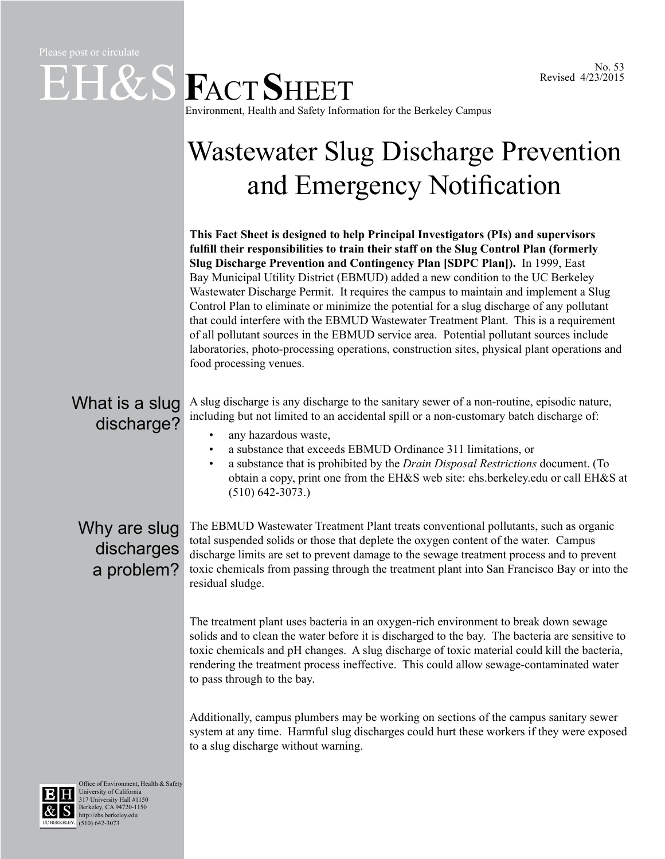## $E$ **H&S**  $F$ ACT SHEET Environment, Health and Safety Information for the Berkeley Campus

## Wastewater Slug Discharge Prevention and Emergency Notification

**This Fact Sheet is designed to help Principal Investigators (PIs) and supervisors fulfill their responsibilities to train their staff on the Slug Control Plan (formerly Slug Discharge Prevention and Contingency Plan [SDPC Plan]).** In 1999, East Bay Municipal Utility District (EBMUD) added a new condition to the UC Berkeley Wastewater Discharge Permit. It requires the campus to maintain and implement a Slug Control Plan to eliminate or minimize the potential for a slug discharge of any pollutant that could interfere with the EBMUD Wastewater Treatment Plant. This is a requirement of all pollutant sources in the EBMUD service area. Potential pollutant sources include laboratories, photo-processing operations, construction sites, physical plant operations and food processing venues.

## A slug discharge is any discharge to the sanitary sewer of a non-routine, episodic nature, including but not limited to an accidental spill or a non-customary batch discharge of: any hazardous waste, • a substance that exceeds EBMUD Ordinance 311 limitations, or • a substance that is prohibited by the *[Drain Disposal Restrictions](http://ehs.berkeley.edu/environmental-protection/drain-disposal-restrictions)* document. (To obtain a copy, print one from the EH&S web site: [ehs.berkeley.edu](http://ehs.berkeley.edu/) or call EH&S at (510) 642-3073.) What is a slug discharge?

## Why are slug discharges a problem?

The EBMUD Wastewater Treatment Plant treats conventional pollutants, such as organic total suspended solids or those that deplete the oxygen content of the water. Campus discharge limits are set to prevent damage to the sewage treatment process and to prevent toxic chemicals from passing through the treatment plant into San Francisco Bay or into the residual sludge.

The treatment plant uses bacteria in an oxygen-rich environment to break down sewage solids and to clean the water before it is discharged to the bay. The bacteria are sensitive to toxic chemicals and pH changes. A slug discharge of toxic material could kill the bacteria, rendering the treatment process ineffective. This could allow sewage-contaminated water to pass through to the bay.

Additionally, campus plumbers may be working on sections of the campus sanitary sewer system at any time. Harmful slug discharges could hurt these workers if they were exposed to a slug discharge without warning.



Office of Environment, Health & Safety University of California 317 University Hall #1150 Berkeley, CA 94720-1150 http://ehs.berkeley.edu UC BERKELEY. (510) 642-3073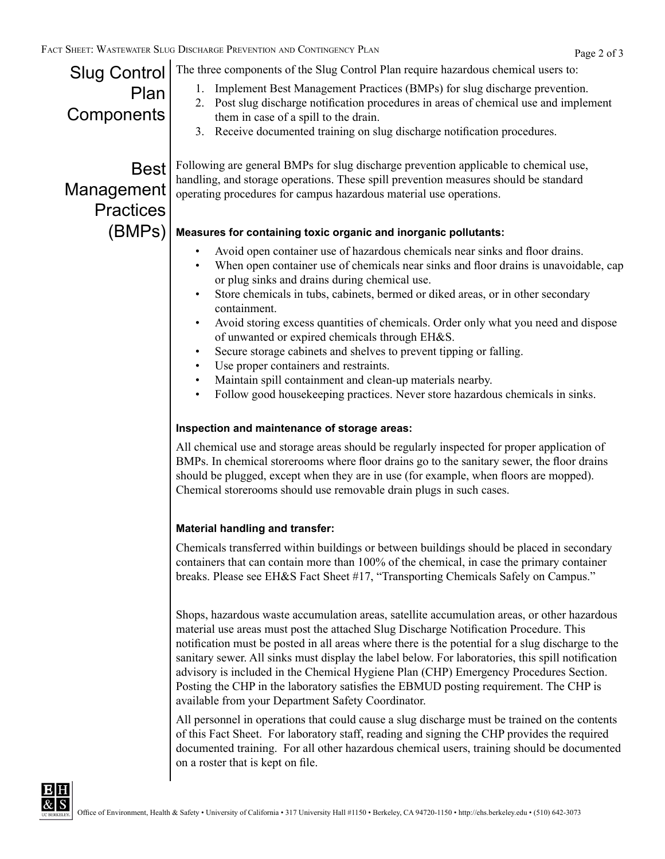| T SHEET: WASTEWATER SLUG DISCHARGE PREVENTION AND CONTINGENCY PLAN<br>Page 2 of 3 |                                                                                                                                                                                                                                                                                                                                                                                                                                                                                                                                                                                                                                                                                                                                                                                                                                         |  |
|-----------------------------------------------------------------------------------|-----------------------------------------------------------------------------------------------------------------------------------------------------------------------------------------------------------------------------------------------------------------------------------------------------------------------------------------------------------------------------------------------------------------------------------------------------------------------------------------------------------------------------------------------------------------------------------------------------------------------------------------------------------------------------------------------------------------------------------------------------------------------------------------------------------------------------------------|--|
| <b>Slug Control</b><br>Plan<br>Components                                         | The three components of the Slug Control Plan require hazardous chemical users to:<br>1. Implement Best Management Practices (BMPs) for slug discharge prevention.<br>2. Post slug discharge notification procedures in areas of chemical use and implement<br>them in case of a spill to the drain.<br>3. Receive documented training on slug discharge notification procedures.                                                                                                                                                                                                                                                                                                                                                                                                                                                       |  |
| <b>Best</b><br>Management<br><b>Practices</b>                                     | Following are general BMPs for slug discharge prevention applicable to chemical use,<br>handling, and storage operations. These spill prevention measures should be standard<br>operating procedures for campus hazardous material use operations.                                                                                                                                                                                                                                                                                                                                                                                                                                                                                                                                                                                      |  |
| (BMPs)                                                                            | Measures for containing toxic organic and inorganic pollutants:<br>Avoid open container use of hazardous chemicals near sinks and floor drains.<br>$\bullet$<br>When open container use of chemicals near sinks and floor drains is unavoidable, cap<br>or plug sinks and drains during chemical use.<br>Store chemicals in tubs, cabinets, bermed or diked areas, or in other secondary<br>containment.<br>Avoid storing excess quantities of chemicals. Order only what you need and dispose<br>of unwanted or expired chemicals through EH&S.<br>Secure storage cabinets and shelves to prevent tipping or falling.<br>Use proper containers and restraints.<br>Maintain spill containment and clean-up materials nearby.<br>$\bullet$<br>Follow good housekeeping practices. Never store hazardous chemicals in sinks.<br>$\bullet$ |  |
|                                                                                   | Inspection and maintenance of storage areas:<br>All chemical use and storage areas should be regularly inspected for proper application of<br>BMPs. In chemical storerooms where floor drains go to the sanitary sewer, the floor drains<br>should be plugged, except when they are in use (for example, when floors are mopped).<br>Chemical storerooms should use removable drain plugs in such cases.                                                                                                                                                                                                                                                                                                                                                                                                                                |  |
|                                                                                   | <b>Material handling and transfer:</b><br>Chemicals transferred within buildings or between buildings should be placed in secondary<br>containers that can contain more than 100% of the chemical, in case the primary container<br>breaks. Please see EH&S Fact Sheet #17, "Transporting Chemicals Safely on Campus."                                                                                                                                                                                                                                                                                                                                                                                                                                                                                                                  |  |
|                                                                                   | Shops, hazardous waste accumulation areas, satellite accumulation areas, or other hazardous<br>material use areas must post the attached Slug Discharge Notification Procedure. This<br>notification must be posted in all areas where there is the potential for a slug discharge to the<br>sanitary sewer. All sinks must display the label below. For laboratories, this spill notification<br>advisory is included in the Chemical Hygiene Plan (CHP) Emergency Procedures Section.<br>Posting the CHP in the laboratory satisfies the EBMUD posting requirement. The CHP is<br>available from your Department Safety Coordinator.                                                                                                                                                                                                  |  |

All personnel in operations that could cause a slug discharge must be trained on the contents of this Fact Sheet. For laboratory staff, reading and signing the CHP provides the required documented training. For all other hazardous chemical users, training should be documented on a roster that is kept on file.